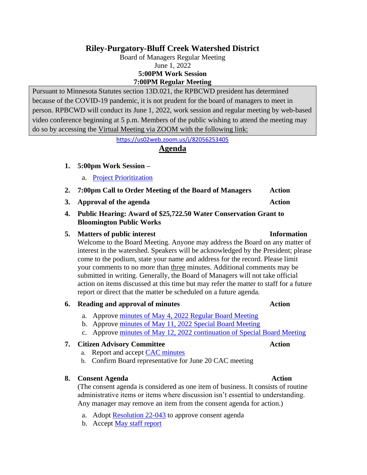# **Riley-Purgatory-Bluff Creek Watershed District**

Board of Managers Regular Meeting June 1, 2022 **5:00PM Work Session 7:00PM Regular Meeting**

Pursuant to Minnesota Statutes section 13D.021, the RPBCWD president has determined because of the COVID-19 pandemic, it is not prudent for the board of managers to meet in person. RPBCWD will conduct its June 1, 2022, work session and regular meeting by web-based video conference beginning at 5 p.m. Members of the public wishing to attend the meeting may do so by accessing the Virtual Meeting via ZOOM with the following link:

<https://us02web.zoom.us/j/82056253405>

# **Agenda**

### **1. 5:00pm Work Session –**

- a. [Project Prioritization](https://rpbcwd.org/download_file/2505/0)
- 2. **7:00pm Call to Order Meeting of the Board of Managers** Action
- **3. Approval of the agenda Action**
- **4. Public Hearing: Award of \$25,722.50 Water Conservation Grant to Bloomington Public Works**

### **5. Matters of public interest Information**

Welcome to the Board Meeting. Anyone may address the Board on any matter of interest in the watershed. Speakers will be acknowledged by the President; please come to the podium, state your name and address for the record. Please limit your comments to no more than three minutes. Additional comments may be submitted in writing. Generally, the Board of Managers will not take official action on items discussed at this time but may refer the matter to staff for a future report or direct that the matter be scheduled on a future agenda.

### **6. Reading and approval of minutes Action**

- a. Approve [minutes of May 4, 2022 Regular Board Meeting](https://rpbcwd.org/download_file/2502/0)
- b. Approve [minutes of May 11, 2022 Special Board Meeting](https://rpbcwd.org/download_file/2493/0)
- c. Approve [minutes of May 12, 2022 continuation](https://rpbcwd.org/download_file/2494/0) of Special Board Meeting

## **7. Citizen Advisory Committee Action**

- a. Report and accept [CAC minutes](https://rpbcwd.org/download_file/2496/0)
- b. Confirm Board representative for June 20 CAC meeting

### **8. Consent Agenda Action**

(The consent agenda is considered as one item of business. It consists of routine administrative items or items where discussion isn't essential to understanding. Any manager may remove an item from the consent agenda for action.)

- a. Adopt [Resolution](https://rpbcwd.org/download_file/2506/0) 22-043 to approve consent agenda
- b. Accept May [staff report](https://rpbcwd.org/download_file/2504/0)